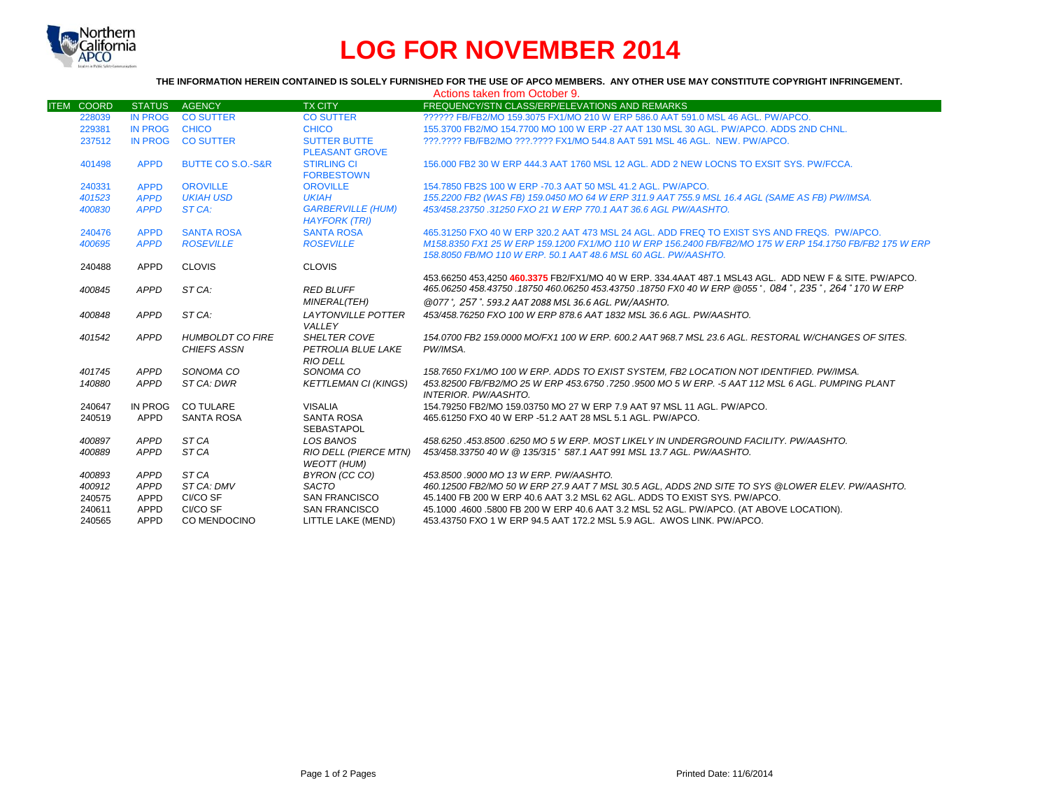

# **LOG FOR NOVEMBER 2014**

## **THE INFORMATION HEREIN CONTAINED IS SOLELY FURNISHED FOR THE USE OF APCO MEMBERS. ANY OTHER USE MAY CONSTITUTE COPYRIGHT INFRINGEMENT.**

|                   |                |                              |                                                    | Actions taken from October 9.                                                                                                                                                                                 |
|-------------------|----------------|------------------------------|----------------------------------------------------|---------------------------------------------------------------------------------------------------------------------------------------------------------------------------------------------------------------|
| <b>ITEM COORD</b> | <b>STATUS</b>  | <b>AGENCY</b>                | <b>TX CITY</b>                                     | FREQUENCY/STN CLASS/ERP/ELEVATIONS AND REMARKS                                                                                                                                                                |
| 228039            | <b>IN PROG</b> | <b>CO SUTTER</b>             | <b>CO SUTTER</b>                                   | ?????? FB/FB2/MO 159.3075 FX1/MO 210 W ERP 586.0 AAT 591.0 MSL 46 AGL, PW/APCO.                                                                                                                               |
| 229381            | <b>IN PROG</b> | <b>CHICO</b>                 | <b>CHICO</b>                                       | 155.3700 FB2/MO 154.7700 MO 100 W ERP -27 AAT 130 MSL 30 AGL. PW/APCO, ADDS 2ND CHNL.                                                                                                                         |
| 237512            | <b>IN PROG</b> | <b>CO SUTTER</b>             | <b>SUTTER BUTTE</b>                                | ???.???? FB/FB2/MO ???.???? FX1/MO 544.8 AAT 591 MSL 46 AGL. NEW. PW/APCO.                                                                                                                                    |
|                   |                |                              | <b>PLEASANT GROVE</b>                              |                                                                                                                                                                                                               |
| 401498            | <b>APPD</b>    | <b>BUTTE CO S.O.-S&amp;R</b> | <b>STIRLING CI</b><br><b>FORBESTOWN</b>            | 156,000 FB2 30 W ERP 444.3 AAT 1760 MSL 12 AGL, ADD 2 NEW LOCNS TO EXSIT SYS. PW/FCCA.                                                                                                                        |
| 240331            | <b>APPD</b>    | <b>OROVILLE</b>              | <b>OROVILLE</b>                                    | 154.7850 FB2S 100 W ERP -70.3 AAT 50 MSL 41.2 AGL, PW/APCO.                                                                                                                                                   |
| 401523            | <b>APPD</b>    | <b>UKIAH USD</b>             | <b>UKIAH</b>                                       | 155.2200 FB2 (WAS FB) 159.0450 MO 64 W ERP 311.9 AAT 755.9 MSL 16.4 AGL (SAME AS FB) PW/IMSA.                                                                                                                 |
| 400830            | <b>APPD</b>    | ST CA:                       | <b>GARBERVILLE (HUM)</b><br><b>HAYFORK (TRI)</b>   | 453/458.23750 .31250 FXO 21 W ERP 770.1 AAT 36.6 AGL PW/AASHTO.                                                                                                                                               |
| 240476            | <b>APPD</b>    | <b>SANTA ROSA</b>            | <b>SANTA ROSA</b>                                  | 465,31250 FXO 40 W ERP 320.2 AAT 473 MSL 24 AGL, ADD FREQ TO EXIST SYS AND FREQS. PW/APCO.                                                                                                                    |
| 400695            | <b>APPD</b>    | <b>ROSEVILLE</b>             | <b>ROSEVILLE</b>                                   | M158.8350 FX1 25 W ERP 159.1200 FX1/MO 110 W ERP 156.2400 FB/FB2/MO 175 W ERP 154.1750 FB/FB2 175 W ERP                                                                                                       |
|                   |                |                              |                                                    | 158.8050 FB/MO 110 W ERP. 50.1 AAT 48.6 MSL 60 AGL. PW/AASHTO.                                                                                                                                                |
| 240488            | APPD           | <b>CLOVIS</b>                | <b>CLOVIS</b>                                      |                                                                                                                                                                                                               |
| 400845            | APPD           | ST CA:                       | <b>RED BLUFF</b>                                   | 453.66250 453,4250 460.3375 FB2/FX1/MO 40 W ERP. 334.4AAT 487.1 MSL43 AGL. ADD NEW F & SITE. PW/APCO.<br>465.06250 458.43750 .18750 460.06250 453.43750 .18750 FX0 40 W ERP @055°, 084°, 235°, 264° 170 W ERP |
|                   |                |                              | <b>MINERAL(TEH)</b>                                | @077°, 257°, 593.2 AAT 2088 MSL 36.6 AGL, PW/AASHTO.                                                                                                                                                          |
| 400848            | APPD           | ST CA:                       | <b>LAYTONVILLE POTTER</b><br>VALLEY                | 453/458.76250 FXO 100 W ERP 878.6 AAT 1832 MSL 36.6 AGL, PW/AASHTO.                                                                                                                                           |
| 401542            | APPD           | <b>HUMBOLDT CO FIRE</b>      | <b>SHELTER COVE</b>                                | 154,0700 FB2 159,0000 MO/FX1 100 W ERP, 600.2 AAT 968.7 MSL 23.6 AGL, RESTORAL W/CHANGES OF SITES.                                                                                                            |
|                   |                | <b>CHIEFS ASSN</b>           | PETROLIA BLUE LAKE                                 | PW/IMSA.                                                                                                                                                                                                      |
|                   |                |                              | <b>RIO DELL</b>                                    |                                                                                                                                                                                                               |
| 401745            | APPD           | SONOMA CO                    | SONOMA CO                                          | 158.7650 FX1/MO 100 W ERP. ADDS TO EXIST SYSTEM. FB2 LOCATION NOT IDENTIFIED. PW/IMSA.                                                                                                                        |
| 140880            | APPD           | ST CA: DWR                   | <b>KETTLEMAN CI (KINGS)</b>                        | 453.82500 FB/FB2/MO 25 W ERP 453.6750 .7250 .9500 MO 5 W ERP. -5 AAT 112 MSL 6 AGL. PUMPING PLANT<br>INTERIOR, PW/AASHTO.                                                                                     |
| 240647            | <b>IN PROG</b> | <b>CO TULARE</b>             | <b>VISALIA</b>                                     | 154.79250 FB2/MO 159.03750 MO 27 W ERP 7.9 AAT 97 MSL 11 AGL, PW/APCO.                                                                                                                                        |
| 240519            | APPD           | <b>SANTA ROSA</b>            | <b>SANTA ROSA</b><br><b>SEBASTAPOL</b>             | 465.61250 FXO 40 W ERP -51.2 AAT 28 MSL 5.1 AGL, PW/APCO.                                                                                                                                                     |
| 400897            | APPD           | ST CA                        | <b>LOS BANOS</b>                                   | 458.6250.453.8500.6250 MO 5 W ERP. MOST LIKELY IN UNDERGROUND FACILITY. PW/AASHTO.                                                                                                                            |
| 400889            | <b>APPD</b>    | ST CA                        | <b>RIO DELL (PIERCE MTN)</b><br><b>WEOTT (HUM)</b> | 453/458.33750 40 W @ 135/315° 587.1 AAT 991 MSL 13.7 AGL. PW/AASHTO.                                                                                                                                          |
| 400893            | APPD           | ST CA                        | BYRON (CC CO)                                      | 453.8500.9000 MO 13 W ERP. PW/AASHTO.                                                                                                                                                                         |
| 400912            | APPD           | ST CA: DMV                   | <b>SACTO</b>                                       | 460.12500 FB2/MO 50 W ERP 27.9 AAT 7 MSL 30.5 AGL. ADDS 2ND SITE TO SYS @LOWER ELEV. PW/AASHTO.                                                                                                               |
| 240575            | <b>APPD</b>    | CI/CO SF                     | <b>SAN FRANCISCO</b>                               | 45.1400 FB 200 W ERP 40.6 AAT 3.2 MSL 62 AGL. ADDS TO EXIST SYS. PW/APCO.                                                                                                                                     |
| 240611            | APPD           | CI/CO SF                     | <b>SAN FRANCISCO</b>                               | 45,1000 .4600 .5800 FB 200 W ERP 40.6 AAT 3.2 MSL 52 AGL. PW/APCO. (AT ABOVE LOCATION).                                                                                                                       |
| 240565            | APPD           | CO MENDOCINO                 | LITTLE LAKE (MEND)                                 | 453.43750 FXO 1 W ERP 94.5 AAT 172.2 MSL 5.9 AGL. AWOS LINK. PW/APCO.                                                                                                                                         |